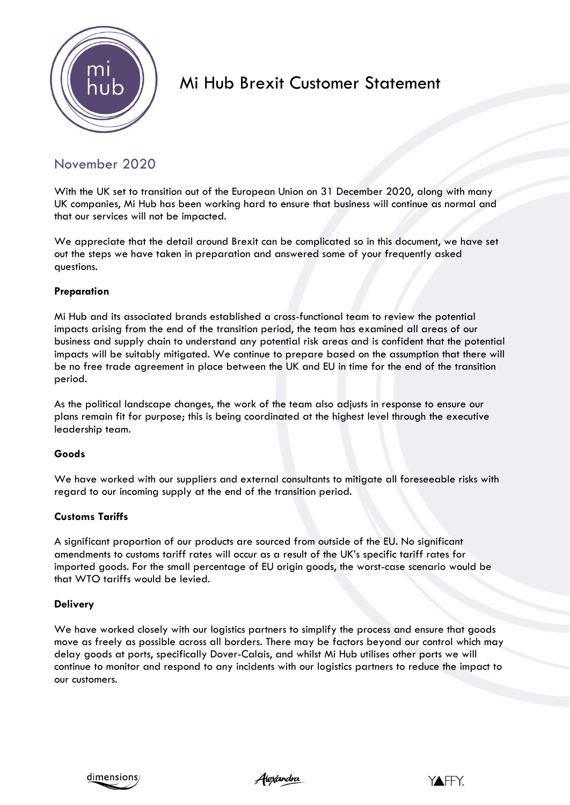

# Mi Hub Brexit Customer Statement

# November 2020

With the UK set to transition out of the European Union on 31 December 2020, along with many UK companies, Mi Hub has been working hard to ensure that business will continue as normal and that our services will not be impacted.

We appreciate that the detail around Brexit can be complicated so in this document, we have set out the steps we have taken in preparation and answered some of your frequently asked questions.

# **Preparation**

Mi Hub and its associated brands established a cross-functional team to review the potential impacts arising from the end of the transition period, the team has examined all areas of our business and supply chain to understand any potential risk areas and is confident that the potential impacts will be suitably mitigated. We continue to prepare based on the assumption that there will be no free trade agreement in place between the UK and EU in time for the end of the transition period.

As the political landscape changes, the work of the team also adjusts in response to ensure our plans remain fit for purpose; this is being coordinated at the highest level through the executive leadership team.

## **Goods**

We have worked with our suppliers and external consultants to mitigate all foreseeable risks with regard to our incoming supply at the end of the transition period.

## **Customs Tariffs**

A significant proportion of our products are sourced from outside of the EU. No significant amendments to customs tariff rates will occur as a result of the UK's specific tariff rates for imported goods. For the small percentage of EU origin goods, the worst-case scenario would be that WTO tariffs would be levied.

#### **Delivery**

We have worked closely with our logistics partners to simplify the process and ensure that goods move as freely as possible across all borders. There may be factors beyond our control which may delay goods at ports, specifically Dover-Calais, and whilst Mi Hub utilises other ports we will continue to monitor and respond to any incidents with our logistics partners to reduce the impact to our customers.



Alexandra